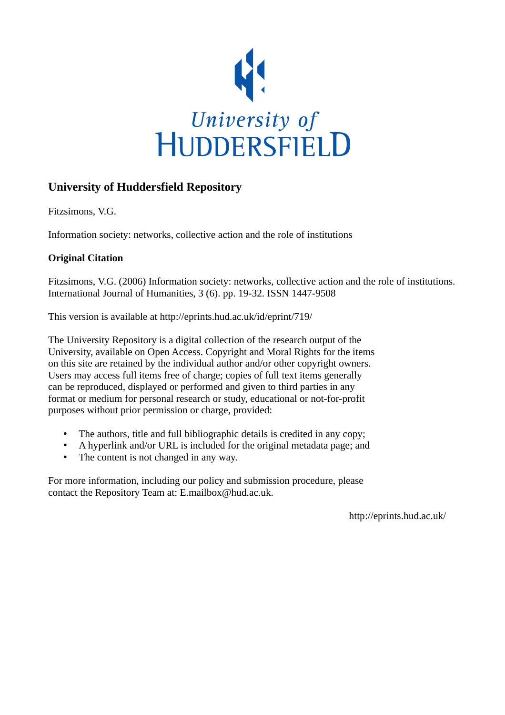

# **University of Huddersfield Repository**

Fitzsimons, V.G.

Information society: networks, collective action and the role of institutions

# **Original Citation**

Fitzsimons, V.G. (2006) Information society: networks, collective action and the role of institutions. International Journal of Humanities, 3 (6). pp. 19-32. ISSN 1447-9508

This version is available at http://eprints.hud.ac.uk/id/eprint/719/

The University Repository is a digital collection of the research output of the University, available on Open Access. Copyright and Moral Rights for the items on this site are retained by the individual author and/or other copyright owners. Users may access full items free of charge; copies of full text items generally can be reproduced, displayed or performed and given to third parties in any format or medium for personal research or study, educational or not-for-profit purposes without prior permission or charge, provided:

- The authors, title and full bibliographic details is credited in any copy;
- A hyperlink and/or URL is included for the original metadata page; and
- The content is not changed in any way.

For more information, including our policy and submission procedure, please contact the Repository Team at: E.mailbox@hud.ac.uk.

http://eprints.hud.ac.uk/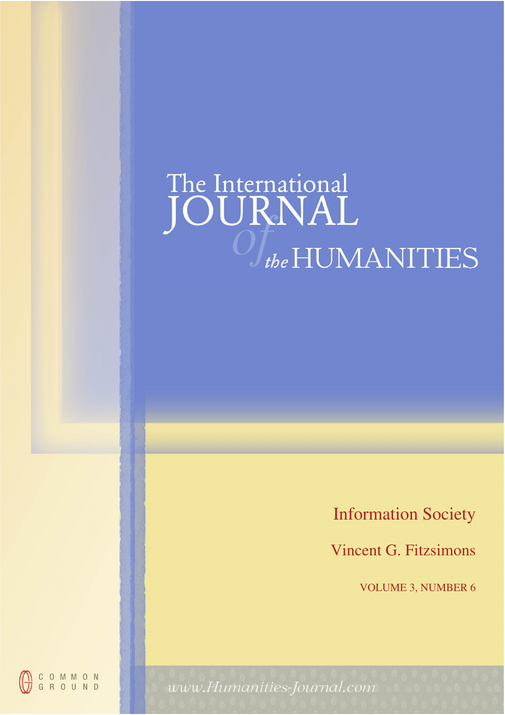# The International<br>JOURNAL  $\int_{the}$ HUMANITIES

Information Society

Vincent G. Fitzsimons

VOLUME 3, NUMBER 6



www.Humanities-Journal.com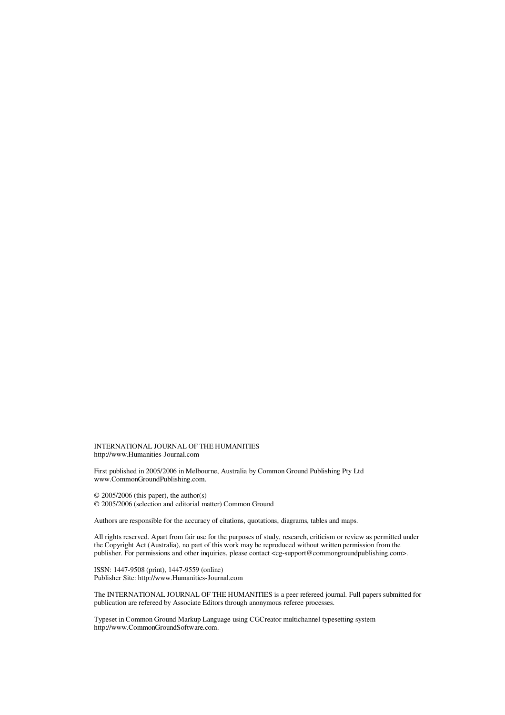INTERNATIONAL JOURNAL OF THE HUMANITIES http://www.Humanities-Journal.com

First published in 2005/2006 in Melbourne, Australia by Common Ground Publishing Pty Ltd www.CommonGroundPublishing.com.

© 2005/2006 (this paper), the author(s)

© 2005/2006 (selection and editorial matter) Common Ground

Authors are responsible for the accuracy of citations, quotations, diagrams, tables and maps.

All rights reserved. Apart from fair use for the purposes of study, research, criticism or review as permitted under the Copyright Act (Australia), no part of this work may be reproduced without written permission from the publisher. For permissions and other inquiries, please contact <cg-support@commongroundpublishing.com>.

ISSN: 1447-9508 (print), 1447-9559 (online) Publisher Site: http://www.Humanities-Journal.com

The INTERNATIONAL JOURNAL OF THE HUMANITIES is a peer refereed journal. Full papers submitted for publication are refereed by Associate Editors through anonymous referee processes.

Typeset in Common Ground Markup Language using CGCreator multichannel typesetting system http://www.CommonGroundSoftware.com.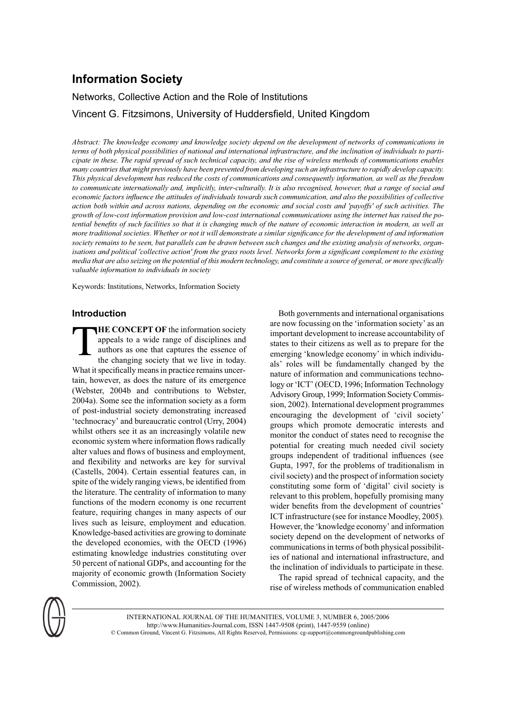# **Information Society**

# Networks, Collective Action and the Role of Institutions

Vincent G. Fitzsimons, University of Huddersfield, United Kingdom

*Abstract: The knowledge economy and knowledge society depend on the development of networks of communications in terms of both physical possibilities of national and international infrastructure, and the inclination of individuals to parti-FLAD EXAH ID HERST The rapid spread of such technical capacity, and the rise of wireless methods of communications enables PDAY countries that might previously have been prevented from developing such an infrastructure to rapidly develop capacity. This physical development has reduced the costs of communications and consequently information, as well as the freedom* to communicate internationally and, implicitly, inter-culturally. It is also recognised, however, that a range of social and *economic factors influence the attitudes of individuals towards such communication, and also the possibilities of collective* action both within and across nations, depending on the economic and social costs and 'payoffs' of such activities. The growth of low-cost information provision and low-cost international communications using the internet has raised the po*tential benefits of such facilities so that it is changing much of the nature of economic interaction in modern, as well as PROFE traditional societies. Whether or not it will demonstrate a similar significance for the development of and information society remains to be seen, but parallels can be drawn between such changes and the existing analysis of networks, organ*isations and political 'collective action' from the grass roots level. Networks form a significant complement to the existing *Phedia that are also seizing on the potential of this modern technology, and constitute a source of general, or more specifically valuable information to individuals in society* 

Keywords: Institutions, Networks, Information Society

#### **Introduction**

**T HE CONCEPT OF** the information society appeals to a wide range of disciplines and authors as one that captures the essence of the changing society that we live in today. What it specifically means in practice remains uncertain, however, as does the nature of its emergence (Webster, 2004b and contributions to Webster, 2004a). Some see the information society as a form of post-industrial society demonstrating increased 'technocracy' and bureaucratic control (Urry, 2004) whilst others see it as an increasingly volatile new economic system where information flows radically alter values and flows of business and employment, and flexibility and networks are key for survival (Castells, 2004). Certain essential features can. in spite of the widely ranging views, be identified from the literature. The centrality of information to many functions of the modern economy is one recurrent feature, requiring changes in many aspects of our lives such as leisure, employment and education. Knowledge-based activities are growing to dominate the developed economies, with the OECD (1996) estimating knowledge industries constituting over 50 percent of national GDPs, and accounting for the majority of economic growth (Information Society Commission, 2002).

Both governments and international organisations are now focussing on the 'information society' as an important development to increase accountability of states to their citizens as well as to prepare for the emerging 'knowledge economy' in which individuals' roles will be fundamentally changed by the nature of information and communications technology or 'ICT' (OECD, 1996; Information Technology Advisory Group, 1999; Information Society Commission, 2002). International development programmes encouraging the development of 'civil society' groups which promote democratic interests and monitor the conduct of states need to recognise the potential for creating much needed civil society groups independent of traditional influences (see Gupta, 1997, for the problems of traditionalism in civil society) and the prospect of information society constituting some form of 'digital' civil society is relevant to this problem, hopefully promising many wider benefits from the development of countries' ICT infrastructure (see for instance Moodley, 2005). However, the 'knowledge economy' and information society depend on the development of networks of communications in terms of both physical possibilities of national and international infrastructure, and the inclination of individuals to participate in these.

The rapid spread of technical capacity, and the rise of wireless methods of communication enabled



INTERNATIONAL JOURNAL OF THE HUMANITIES, VOLUME 3, NUMBER 6, 2005/2006 http://www.Humanities-Journal.com, ISSN 1447-9508 (print), 1447-9559 (online)  $@$  Common Ground, Vincent G. Fitzsimons, All Rights Reserved, Permissions: cg-support@commongroundpublishing.com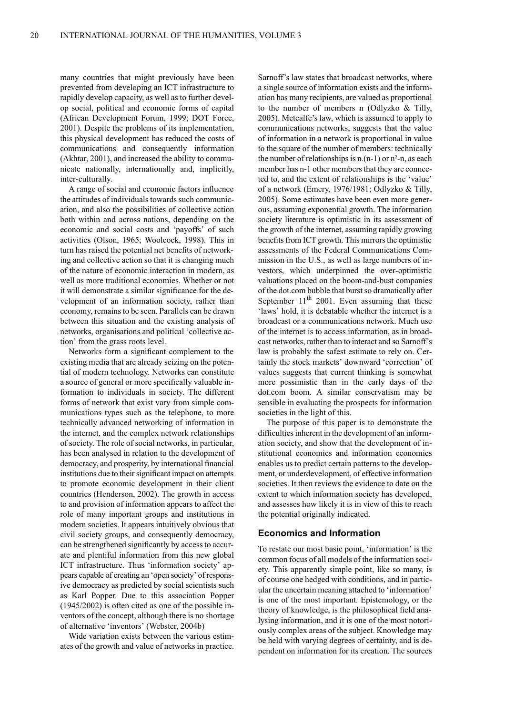many countries that might previously have been prevented from developing an ICT infrastructure to rapidly develop capacity, as well as to further develop social, political and economic forms of capital (African Development Forum, 1999; DOT Force, 2001). Despite the problems of its implementation, this physical development has reduced the costs of communications and consequently information (Akhtar, 2001), and increased the ability to communicate nationally, internationally and, implicitly, inter-culturally.

A range of social and economic factors influence the attitudes of individuals towards such communication, and also the possibilities of collective action both within and across nations, depending on the economic and social costs and 'payoffs' of such activities (Olson, 1965; Woolcock, 1998). This in turn has raised the potential net benefits of networking and collective action so that it is changing much of the nature of economic interaction in modern, as well as more traditional economies. Whether or not it will demonstrate a similar significance for the development of an information society, rather than economy, remains to be seen. Parallels can be drawn between this situation and the existing analysis of networks, organisations and political 'collective action' from the grass roots level.

Networks form a significant complement to the existing media that are already seizing on the potential of modern technology. Networks can constitute a source of general or more specifically valuable information to individuals in society. The different forms of network that exist vary from simple communications types such as the telephone, to more technically advanced networking of information in the internet, and the complex network relationships of society. The role of social networks, in particular, has been analysed in relation to the development of democracy, and prosperity, by international financial institutions due to their significant impact on attempts to promote economic development in their client countries (Henderson, 2002). The growth in access to and provision of information appears to affect the role of many important groups and institutions in modern societies. It appears intuitively obvious that civil society groups, and consequently democracy, can be strengthened significantly by access to accurate and plentiful information from this new global ICT infrastructure. Thus 'information society' appears capable of creating an 'open society' of responsive democracy as predicted by social scientists such as Karl Popper. Due to this association Popper  $(1945/2002)$  is often cited as one of the possible inventors of the concept, although there is no shortage of alternative 'inventors' (Webster, 2004b)

Wide variation exists between the various estimates of the growth and value of networks in practice. Sarnoff's law states that broadcast networks, where a single source of information exists and the information has many recipients, are valued as proportional to the number of members  $n$  (Odlyzko & Tilly, 2005). Metcalfe's law, which is assumed to apply to communications networks, suggests that the value of information in a network is proportional in value to the square of the number of members: technically the number of relationships is  $n(n-1)$  or  $n^2-n$ , as each member has n-1 other members that they are connected to, and the extent of relationships is the 'value' of a network (Emery, 1976/1981; Odlyzko & Tilly, 2005). Some estimates have been even more generous, assuming exponential growth. The information society literature is optimistic in its assessment of the growth of the internet, assuming rapidly growing benefits from ICT growth. This mirrors the optimistic assessments of the Federal Communications Commission in the U.S., as well as large numbers of investors, which underpinned the over-optimistic valuations placed on the boom-and-bust companies of the dot.com bubble that burst so dramatically after September  $11<sup>th</sup>$  2001. Even assuming that these 'laws' hold, it is debatable whether the internet is a broadcast or a communications network. Much use of the internet is to access information, as in broadcast networks, rather than to interact and so Sarnoff's law is probably the safest estimate to rely on. Certainly the stock markets' downward 'correction' of values suggests that current thinking is somewhat more pessimistic than in the early days of the dot.com boom. A similar conservatism may be sensible in evaluating the prospects for information societies in the light of this.

The purpose of this paper is to demonstrate the difficulties inherent in the development of an information society, and show that the development of institutional economics and information economics enables us to predict certain patterns to the development, or underdevelopment, of effective information societies. It then reviews the evidence to date on the extent to which information society has developed, and assesses how likely it is in view of this to reach the potential originally indicated.

#### **Economics and Information**

To restate our most basic point, 'information' is the common focus of all models of the information society. This apparently simple point, like so many, is of course one hedged with conditions, and in particular the uncertain meaning attached to 'information' is one of the most important. Epistemology, or the theory of knowledge, is the philosophical field analysing information, and it is one of the most notoriously complex areas of the subject. Knowledge may be held with varying degrees of certainty, and is dependent on information for its creation. The sources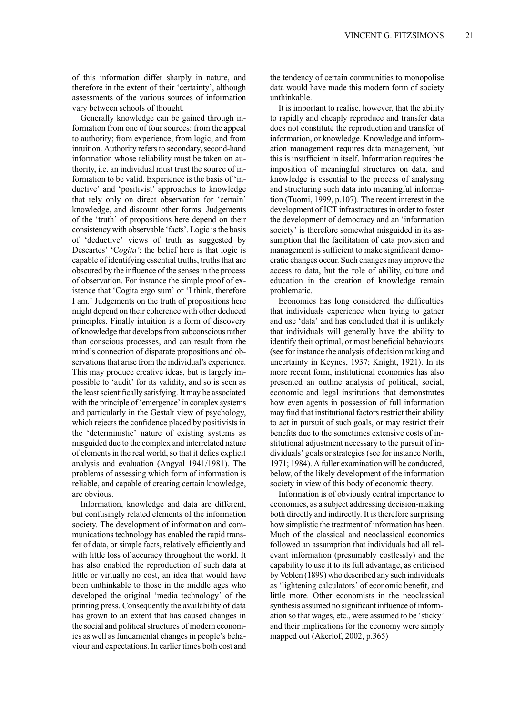of this information differ sharply in nature, and therefore in the extent of their 'certainty', although assessments of the various sources of information vary between schools of thought.

Generally knowledge can be gained through information from one of four sources: from the appeal to authority; from experience; from logic; and from intuition. Authority refers to secondary, second-hand information whose reliability must be taken on authority, i.e. an individual must trust the source of information to be valid. Experience is the basis of 'inductive' and 'positivist' approaches to knowledge that rely only on direct observation for 'certain' knowledge, and discount other forms. Judgements of the 'truth' of propositions here depend on their consistency with observable 'facts'. Logic is the basis of 'deductive' views of truth as suggested by Descartes' 'Cogita': the belief here is that logic is capable of identifying essential truths, truths that are obscured by the influence of the senses in the process of observation. For instance the simple proof of existence that 'Cogita ergo sum' or 'I think, therefore I am.' Judgements on the truth of propositions here might depend on their coherence with other deduced principles. Finally intuition is a form of discovery of knowledge that develops from subconscious rather than conscious processes, and can result from the mind's connection of disparate propositions and observations that arise from the individual's experience. This may produce creative ideas, but is largely impossible to 'audit' for its validity, and so is seen as the least scientifically satisfying. It may be associated with the principle of 'emergence' in complex systems and particularly in the Gestalt view of psychology, which rejects the confidence placed by positivists in the 'deterministic' nature of existing systems as misguided due to the complex and interrelated nature of elements in the real world, so that it defies explicit analysis and evaluation (Angyal 1941/1981). The problems of assessing which form of information is reliable, and capable of creating certain knowledge, are obvious.

Information, knowledge and data are different, but confusingly related elements of the information society. The development of information and communications technology has enabled the rapid transfer of data, or simple facts, relatively efficiently and with little loss of accuracy throughout the world. It has also enabled the reproduction of such data at little or virtually no cost, an idea that would have been unthinkable to those in the middle ages who developed the original 'media technology' of the printing press. Consequently the availability of data has grown to an extent that has caused changes in the social and political structures of modern economies as well as fundamental changes in people's behaviour and expectations. In earlier times both cost and the tendency of certain communities to monopolise data would have made this modern form of society unthinkable.

It is important to realise, however, that the ability to rapidly and cheaply reproduce and transfer data does not constitute the reproduction and transfer of information, or knowledge. Knowledge and information management requires data management, but this is insufficient in itself. Information requires the imposition of meaningful structures on data, and knowledge is essential to the process of analysing and structuring such data into meaningful information (Tuomi, 1999, p.107). The recent interest in the development of ICT infrastructures in order to foster the development of democracy and an 'information society' is therefore somewhat misguided in its assumption that the facilitation of data provision and management is sufficient to make significant democratic changes occur. Such changes may improve the access to data, but the role of ability, culture and education in the creation of knowledge remain problematic.

Economics has long considered the difficulties that individuals experience when trying to gather and use 'data' and has concluded that it is unlikely that individuals will generally have the ability to identify their optimal, or most beneficial behaviours (see for instance the analysis of decision making and uncertainty in Keynes, 1937; Knight, 1921). In its more recent form, institutional economics has also presented an outline analysis of political, social, economic and legal institutions that demonstrates how even agents in possession of full information may find that institutional factors restrict their ability to act in pursuit of such goals, or may restrict their benefits due to the sometimes extensive costs of institutional adjustment necessary to the pursuit of individuals' goals or strategies (see for instance North, 1971; 1984). A fuller examination will be conducted, below, of the likely development of the information society in view of this body of economic theory.

Information is of obviously central importance to economics, as a subject addressing decision-making both directly and indirectly. It is therefore surprising how simplistic the treatment of information has been. Much of the classical and neoclassical economics followed an assumption that individuals had all relevant information (presumably costlessly) and the capability to use it to its full advantage, as criticised by Veblen (1899) who described any such individuals as 'lightening calculators' of economic benefit, and little more. Other economists in the neoclassical synthesis assumed no significant influence of information so that wages, etc., were assumed to be 'sticky' and their implications for the economy were simply mapped out (Akerlof, 2002, p.365)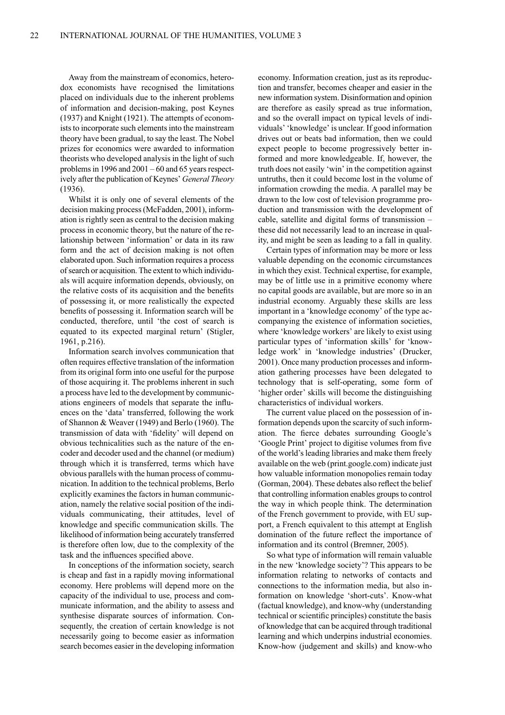Away from the mainstream of economics, heterodox economists have recognised the limitations placed on individuals due to the inherent problems of information and decision-making, post Keynes (1937) and Knight (1921). The attempts of economists to incorporate such elements into the mainstream theory have been gradual, to say the least. The Nobel prizes for economics were awarded to information theorists who developed analysis in the light of such problems in 1996 and  $2001 - 60$  and 65 years respectively after the publication of Keynes' General Theory  $(1936).$ 

Whilst it is only one of several elements of the decision making process (McFadden, 2001), information is rightly seen as central to the decision making process in economic theory, but the nature of the relationship between 'information' or data in its raw form and the act of decision making is not often elaborated upon. Such information requires a process of search or acquisition. The extent to which individuals will acquire information depends, obviously, on the relative costs of its acquisition and the benefits of possessing it, or more realistically the expected benefits of possessing it. Information search will be conducted, therefore, until 'the cost of search is equated to its expected marginal return' (Stigler, 1961, p.216).

Information search involves communication that often requires effective translation of the information from its original form into one useful for the purpose of those acquiring it. The problems inherent in such a process have led to the development by communications engineers of models that separate the influences on the 'data' transferred, following the work of Shannon & Weaver (1949) and Berlo (1960). The transmission of data with 'fidelity' will depend on obvious technicalities such as the nature of the encoder and decoder used and the channel (or medium) through which it is transferred, terms which have obvious parallels with the human process of communication. In addition to the technical problems, Berlo explicitly examines the factors in human communication, namely the relative social position of the individuals communicating, their attitudes, level of knowledge and specific communication skills. The likelihood of information being accurately transferred is therefore often low, due to the complexity of the task and the influences specified above.

In conceptions of the information society, search is cheap and fast in a rapidly moving informational economy. Here problems will depend more on the capacity of the individual to use, process and communicate information, and the ability to assess and synthesise disparate sources of information. Consequently, the creation of certain knowledge is not necessarily going to become easier as information search becomes easier in the developing information economy. Information creation, just as its reproduction and transfer, becomes cheaper and easier in the new information system. Disinformation and opinion are therefore as easily spread as true information, and so the overall impact on typical levels of individuals' 'knowledge' is unclear. If good information drives out or beats bad information, then we could expect people to become progressively better informed and more knowledgeable. If, however, the truth does not easily 'win' in the competition against untruths, then it could become lost in the volume of information crowding the media. A parallel may be drawn to the low cost of television programme production and transmission with the development of cable, satellite and digital forms of transmission these did not necessarily lead to an increase in quality, and might be seen as leading to a fall in quality.

Certain types of information may be more or less valuable depending on the economic circumstances in which they exist. Technical expertise, for example, may be of little use in a primitive economy where no capital goods are available, but are more so in an industrial economy. Arguably these skills are less important in a 'knowledge economy' of the type accompanying the existence of information societies, where 'knowledge workers' are likely to exist using particular types of 'information skills' for 'knowledge work' in 'knowledge industries' (Drucker, 2001). Once many production processes and information gathering processes have been delegated to technology that is self-operating, some form of 'higher order' skills will become the distinguishing characteristics of individual workers.

The current value placed on the possession of information depends upon the scarcity of such information. The fierce debates surrounding Google's 'Google Print' project to digitise volumes from five of the world's leading libraries and make them freely available on the web (print.google.com) indicate just how valuable information monopolies remain today (Gorman, 2004). These debates also reflect the belief that controlling information enables groups to control the way in which people think. The determination of the French government to provide, with EU support, a French equivalent to this attempt at English domination of the future reflect the importance of information and its control (Bremner, 2005).

So what type of information will remain valuable in the new 'knowledge society'? This appears to be information relating to networks of contacts and connections to the information media, but also information on knowledge 'short-cuts'. Know-what (factual knowledge), and know-why (understanding technical or scientific principles) constitute the basis of knowledge that can be acquired through traditional learning and which underpins industrial economies. Know-how (judgement and skills) and know-who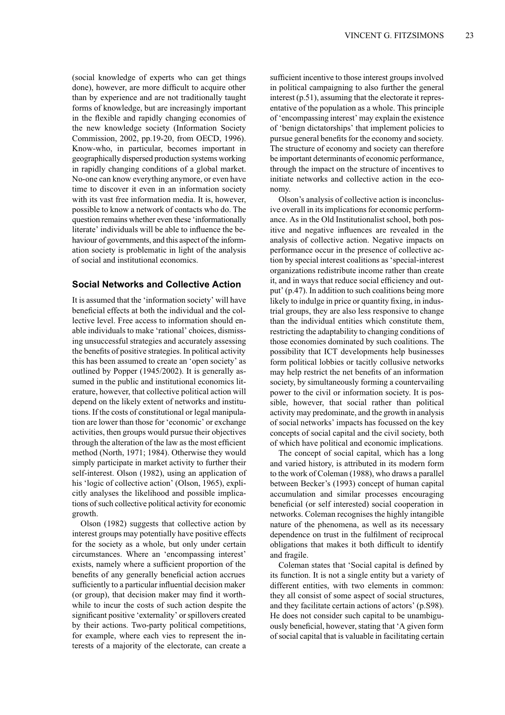(social knowledge of experts who can get things done), however, are more difficult to acquire other than by experience and are not traditionally taught forms of knowledge, but are increasingly important in the flexible and rapidly changing economies of the new knowledge society (Information Society Commission, 2002, pp.19-20, from OECD, 1996). Know-who, in particular, becomes important in geographically dispersed production systems working in rapidly changing conditions of a global market. No-one can know everything anymore, or even have time to discover it even in an information society with its vast free information media. It is, however, possible to know a network of contacts who do. The question remains whether even these 'informationally literate' individuals will be able to influence the behaviour of governments, and this aspect of the information society is problematic in light of the analysis of social and institutional economics.

## **Social Networks and Collective Action**

It is assumed that the 'information society' will have beneficial effects at both the individual and the collective level. Free access to information should enable individuals to make 'rational' choices, dismissing unsuccessful strategies and accurately assessing the benefits of positive strategies. In political activity this has been assumed to create an 'open society' as outlined by Popper (1945/2002). It is generally assumed in the public and institutional economics literature, however, that collective political action will depend on the likely extent of networks and institutions. If the costs of constitutional or legal manipulation are lower than those for 'economic' or exchange activities, then groups would pursue their objectives through the alteration of the law as the most efficient method (North, 1971; 1984). Otherwise they would simply participate in market activity to further their self-interest. Olson (1982), using an application of his 'logic of collective action' (Olson, 1965), explicitly analyses the likelihood and possible implications of such collective political activity for economic growth.

Olson (1982) suggests that collective action by interest groups may potentially have positive effects for the society as a whole, but only under certain circumstances. Where an 'encompassing interest' exists, namely where a sufficient proportion of the benefits of any generally beneficial action accrues sufficiently to a particular influential decision maker (or group), that decision maker may find it worthwhile to incur the costs of such action despite the significant positive 'externality' or spillovers created by their actions. Two-party political competitions, for example, where each vies to represent the interests of a majority of the electorate, can create a sufficient incentive to those interest groups involved in political campaigning to also further the general interest  $(p.51)$ , assuming that the electorate it representative of the population as a whole. This principle of 'encompassing interest' may explain the existence of 'benign dictatorships' that implement policies to pursue general benefits for the economy and society. The structure of economy and society can therefore be important determinants of economic performance, through the impact on the structure of incentives to initiate networks and collective action in the economy.

Olson's analysis of collective action is inconclusive overall in its implications for economic performance. As in the Old Institutionalist school, both positive and negative influences are revealed in the analysis of collective action. Negative impacts on performance occur in the presence of collective action by special interest coalitions as 'special-interest organizations redistribute income rather than create it, and in ways that reduce social efficiency and output' (p.47). In addition to such coalitions being more likely to indulge in price or quantity fixing, in industrial groups, they are also less responsive to change than the individual entities which constitute them, restricting the adaptability to changing conditions of those economies dominated by such coalitions. The possibility that ICT developments help businesses form political lobbies or tacitly collusive networks may help restrict the net benefits of an information society, by simultaneously forming a countervailing power to the civil or information society. It is possible, however, that social rather than political activity may predominate, and the growth in analysis of social networks' impacts has focussed on the key concepts of social capital and the civil society, both of which have political and economic implications.

The concept of social capital, which has a long and varied history, is attributed in its modern form to the work of Coleman (1988), who draws a parallel between Becker's (1993) concept of human capital accumulation and similar processes encouraging beneficial (or self interested) social cooperation in networks. Coleman recognises the highly intangible nature of the phenomena, as well as its necessary dependence on trust in the fulfilment of reciprocal obligations that makes it both difficult to identify and fragile.

Coleman states that 'Social capital is defined by its function. It is not a single entity but a variety of different entities, with two elements in common: they all consist of some aspect of social structures, and they facilitate certain actions of actors' (p.S98). He does not consider such capital to be unambiguously beneficial, however, stating that 'A given form of social capital that is valuable in facilitating certain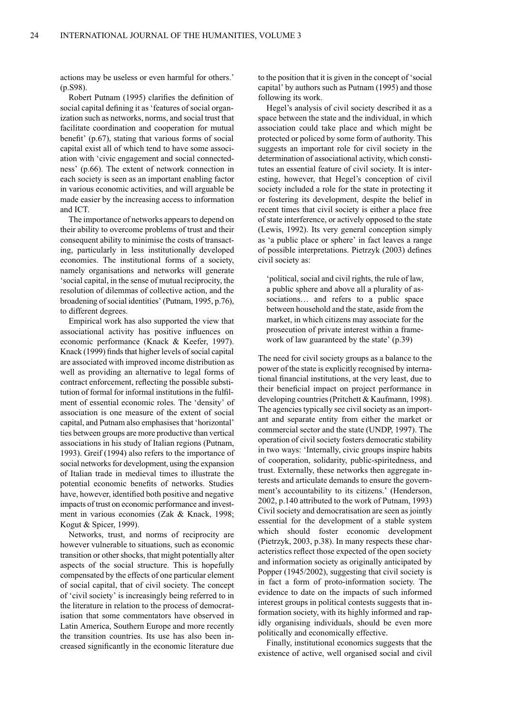actions may be useless or even harmful for others.'  $(p. S98)$ .

Robert Putnam (1995) clarifies the definition of social capital defining it as 'features of social organization such as networks, norms, and social trust that facilitate coordination and cooperation for mutual benefit' (p.67), stating that various forms of social capital exist all of which tend to have some association with 'civic engagement and social connectedness' (p.66). The extent of network connection in each society is seen as an important enabling factor in various economic activities, and will arguable be made easier by the increasing access to information and ICT.

The importance of networks appears to depend on their ability to overcome problems of trust and their consequent ability to minimise the costs of transacting, particularly in less institutionally developed economies. The institutional forms of a society, namely organisations and networks will generate 'social capital, in the sense of mutual reciprocity, the resolution of dilemmas of collective action, and the broadening of social identities' (Putnam, 1995, p.76), to different degrees.

Empirical work has also supported the view that associational activity has positive influences on economic performance (Knack & Keefer, 1997). Knack (1999) finds that higher levels of social capital are associated with improved income distribution as well as providing an alternative to legal forms of contract enforcement, reflecting the possible substitution of formal for informal institutions in the fulfilment of essential economic roles. The 'density' of association is one measure of the extent of social capital, and Putnam also emphasises that 'horizontal' ties between groups are more productive than vertical associations in his study of Italian regions (Putnam, 1993). Greif (1994) also refers to the importance of social networks for development, using the expansion of Italian trade in medieval times to illustrate the potential economic benefits of networks. Studies have, however, identified both positive and negative impacts of trust on economic performance and investment in various economies (Zak & Knack, 1998; Kogut & Spicer, 1999).

Networks, trust, and norms of reciprocity are however vulnerable to situations, such as economic transition or other shocks, that might potentially alter aspects of the social structure. This is hopefully compensated by the effects of one particular element of social capital, that of civil society. The concept of 'civil society' is increasingly being referred to in the literature in relation to the process of democratisation that some commentators have observed in Latin America, Southern Europe and more recently the transition countries. Its use has also been increased significantly in the economic literature due

to the position that it is given in the concept of 'social capital' by authors such as Putnam (1995) and those following its work.

Hegel's analysis of civil society described it as a space between the state and the individual, in which association could take place and which might be protected or policed by some form of authority. This suggests an important role for civil society in the determination of associational activity, which constitutes an essential feature of civil society. It is interesting, however, that Hegel's conception of civil society included a role for the state in protecting it or fostering its development, despite the belief in recent times that civil society is either a place free of state interference, or actively opposed to the state (Lewis, 1992). Its very general conception simply as 'a public place or sphere' in fact leaves a range of possible interpretations. Pietrzyk (2003) defines civil society as:

'political, social and civil rights, the rule of law. a public sphere and above all a plurality of associations... and refers to a public space between household and the state, aside from the market, in which citizens may associate for the prosecution of private interest within a framework of law guaranteed by the state' (p.39)

The need for civil society groups as a balance to the power of the state is explicitly recognised by international financial institutions, at the very least, due to their beneficial impact on project performance in developing countries (Pritchett & Kaufmann, 1998). The agencies typically see civil society as an important and separate entity from either the market or commercial sector and the state (UNDP, 1997). The operation of civil society fosters democratic stability in two ways: 'Internally, civic groups inspire habits of cooperation, solidarity, public-spiritedness, and trust. Externally, these networks then aggregate interests and articulate demands to ensure the government's accountability to its citizens.' (Henderson, 2002, p.140 attributed to the work of Putnam, 1993) Civil society and democratisation are seen as jointly essential for the development of a stable system which should foster economic development (Pietrzyk, 2003, p.38). In many respects these characteristics reflect those expected of the open society and information society as originally anticipated by Popper (1945/2002), suggesting that civil society is in fact a form of proto-information society. The evidence to date on the impacts of such informed interest groups in political contests suggests that information society, with its highly informed and rapidly organising individuals, should be even more politically and economically effective.

Finally, institutional economics suggests that the existence of active, well organised social and civil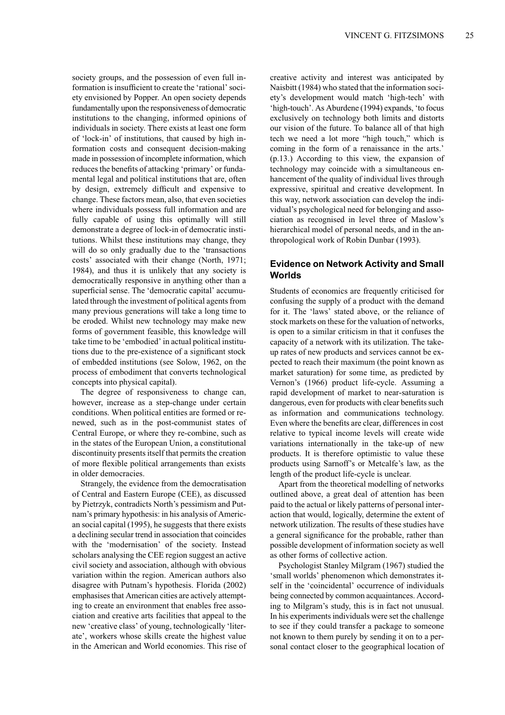society groups, and the possession of even full information is insufficient to create the 'rational' society envisioned by Popper. An open society depends fundamentally upon the responsiveness of democratic institutions to the changing, informed opinions of individuals in society. There exists at least one form of 'lock-in' of institutions, that caused by high information costs and consequent decision-making made in possession of incomplete information, which reduces the benefits of attacking 'primary' or fundamental legal and political institutions that are, often by design, extremely difficult and expensive to change. These factors mean, also, that even societies where individuals possess full information and are fully capable of using this optimally will still demonstrate a degree of lock-in of democratic institutions. Whilst these institutions may change, they will do so only gradually due to the 'transactions' costs' associated with their change (North, 1971; 1984), and thus it is unlikely that any society is democratically responsive in anything other than a superficial sense. The 'democratic capital' accumulated through the investment of political agents from many previous generations will take a long time to be eroded. Whilst new technology may make new forms of government feasible, this knowledge will take time to be 'embodied' in actual political institutions due to the pre-existence of a significant stock of embedded institutions (see Solow, 1962, on the process of embodiment that converts technological concepts into physical capital).

The degree of responsiveness to change can, however, increase as a step-change under certain conditions. When political entities are formed or renewed, such as in the post-communist states of Central Europe, or where they re-combine, such as in the states of the European Union, a constitutional discontinuity presents itself that permits the creation of more flexible political arrangements than exists in older democracies.

Strangely, the evidence from the democratisation of Central and Eastern Europe (CEE), as discussed by Pietrzyk, contradicts North's pessimism and Putnam's primary hypothesis: in his analysis of American social capital (1995), he suggests that there exists a declining secular trend in association that coincides with the 'modernisation' of the society. Instead scholars analysing the CEE region suggest an active civil society and association, although with obvious variation within the region. American authors also disagree with Putnam's hypothesis. Florida (2002) emphasises that American cities are actively attempting to create an environment that enables free association and creative arts facilities that appeal to the new 'creative class' of young, technologically 'literate', workers whose skills create the highest value in the American and World economies. This rise of creative activity and interest was anticipated by Naisbitt (1984) who stated that the information society's development would match 'high-tech' with 'high-touch'. As Aburdene (1994) expands, 'to focus exclusively on technology both limits and distorts our vision of the future. To balance all of that high tech we need a lot more "high touch," which is coming in the form of a renaissance in the arts.'  $(p.13.)$  According to this view, the expansion of technology may coincide with a simultaneous enhancement of the quality of individual lives through expressive, spiritual and creative development. In this way, network association can develop the individual's psychological need for belonging and association as recognised in level three of Maslow's hierarchical model of personal needs, and in the anthropological work of Robin Dunbar (1993).

# **Evidence on Network Activity and Small** Worlds

Students of economics are frequently criticised for confusing the supply of a product with the demand for it. The 'laws' stated above, or the reliance of stock markets on these for the valuation of networks. is open to a similar criticism in that it confuses the capacity of a network with its utilization. The takeup rates of new products and services cannot be expected to reach their maximum (the point known as market saturation) for some time, as predicted by Vernon's (1966) product life-cycle. Assuming a rapid development of market to near-saturation is dangerous, even for products with clear benefits such as information and communications technology. Even where the benefits are clear, differences in cost relative to typical income levels will create wide variations internationally in the take-up of new products. It is therefore optimistic to value these products using Sarnoff's or Metcalfe's law, as the length of the product life-cycle is unclear.

Apart from the theoretical modelling of networks outlined above, a great deal of attention has been paid to the actual or likely patterns of personal interaction that would, logically, determine the extent of network utilization. The results of these studies have a general significance for the probable, rather than possible development of information society as well as other forms of collective action.

Psychologist Stanley Milgram (1967) studied the 'small worlds' phenomenon which demonstrates itself in the 'coincidental' occurrence of individuals being connected by common acquaintances. According to Milgram's study, this is in fact not unusual. In his experiments individuals were set the challenge to see if they could transfer a package to someone not known to them purely by sending it on to a personal contact closer to the geographical location of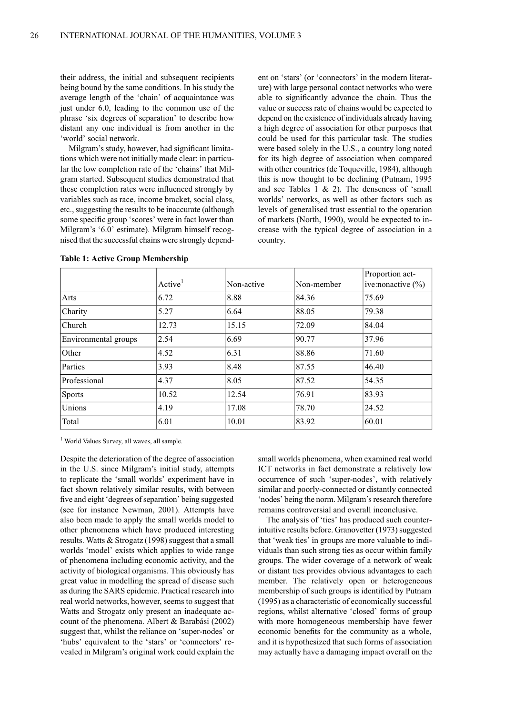their address, the initial and subsequent recipients being bound by the same conditions. In his study the average length of the 'chain' of acquaintance was just under 6.0, leading to the common use of the phrase 'six degrees of separation' to describe how distant any one individual is from another in the 'world' social network.

Milgram's study, however, had significant limitations which were not initially made clear: in particular the low completion rate of the 'chains' that Milgram started. Subsequent studies demonstrated that these completion rates were influenced strongly by variables such as race, income bracket, social class, etc., suggesting the results to be inaccurate (although some specific group 'scores' were in fact lower than Milgram's '6.0' estimate). Milgram himself recognised that the successful chains were strongly dependent on 'stars' (or 'connectors' in the modern literature) with large personal contact networks who were able to significantly advance the chain. Thus the value or success rate of chains would be expected to depend on the existence of individuals already having a high degree of association for other purposes that could be used for this particular task. The studies were based solely in the U.S., a country long noted for its high degree of association when compared with other countries (de Toqueville, 1984), although this is now thought to be declining (Putnam, 1995) and see Tables  $1 \& 2$ ). The denseness of 'small worlds' networks, as well as other factors such as levels of generalised trust essential to the operation of markets (North, 1990), would be expected to increase with the typical degree of association in a country.

|                      | Active <sup>1</sup> | Non-active | Non-member | Proportion act-<br>ive: nonactive $(\% )$ |
|----------------------|---------------------|------------|------------|-------------------------------------------|
| Arts                 | 6.72                | 8.88       | 84.36      | 75.69                                     |
| Charity              | 5.27                | 6.64       | 88.05      | 79.38                                     |
| Church               | 12.73               | 15.15      | 72.09      | 84.04                                     |
| Environmental groups | 2.54                | 6.69       | 90.77      | 37.96                                     |
| Other                | 4.52                | 6.31       | 88.86      | 71.60                                     |
| Parties              | 3.93                | 8.48       | 87.55      | 46.40                                     |
| Professional         | 4.37                | 8.05       | 87.52      | 54.35                                     |
| <b>Sports</b>        | 10.52               | 12.54      | 76.91      | 83.93                                     |
| Unions               | 4.19                | 17.08      | 78.70      | 24.52                                     |
| Total                | 6.01                | 10.01      | 83.92      | 60.01                                     |

**Table 1: Active Group Membership** 

<sup>1</sup> World Values Survey, all waves, all sample.

Despite the deterioration of the degree of association in the U.S. since Milgram's initial study, attempts to replicate the 'small worlds' experiment have in fact shown relatively similar results, with between five and eight 'degrees of separation' being suggested (see for instance Newman, 2001). Attempts have also been made to apply the small worlds model to other phenomena which have produced interesting results. Watts & Strogatz (1998) suggest that a small worlds 'model' exists which applies to wide range of phenomena including economic activity, and the activity of biological organisms. This obviously has great value in modelling the spread of disease such as during the SARS epidemic. Practical research into real world networks, however, seems to suggest that Watts and Strogatz only present an inadequate account of the phenomena. Albert & Barabási (2002) suggest that, whilst the reliance on 'super-nodes' or 'hubs' equivalent to the 'stars' or 'connectors' revealed in Milgram's original work could explain the

small worlds phenomena, when examined real world ICT networks in fact demonstrate a relatively low occurrence of such 'super-nodes', with relatively similar and poorly-connected or distantly connected 'nodes' being the norm. Milgram's research therefore remains controversial and overall inconclusive.

The analysis of 'ties' has produced such counterintuitive results before. Granovetter (1973) suggested that 'weak ties' in groups are more valuable to individuals than such strong ties as occur within family groups. The wider coverage of a network of weak or distant ties provides obvious advantages to each member. The relatively open or heterogeneous membership of such groups is identified by Putnam (1995) as a characteristic of economically successful regions, whilst alternative 'closed' forms of group with more homogeneous membership have fewer economic benefits for the community as a whole, and it is hypothesized that such forms of association may actually have a damaging impact overall on the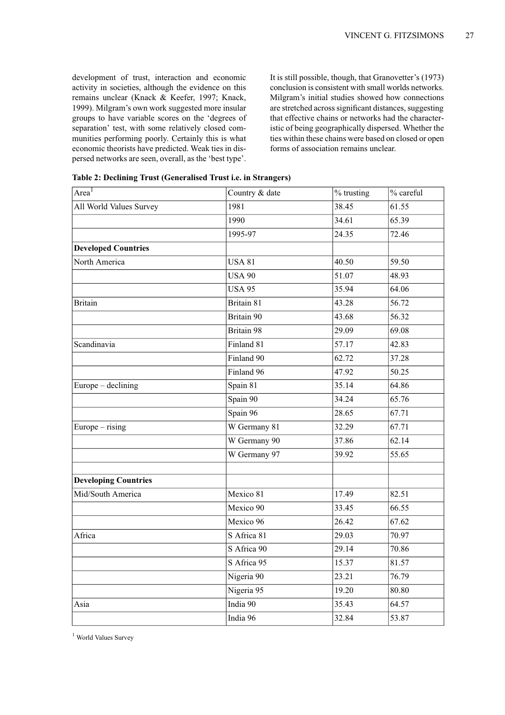development of trust, interaction and economic activity in societies, although the evidence on this remains unclear (Knack & Keefer, 1997; Knack, 1999). Milgram's own work suggested more insular groups to have variable scores on the 'degrees of separation' test, with some relatively closed communities performing poorly. Certainly this is what economic theorists have predicted. Weak ties in dispersed networks are seen, overall, as the 'best type'.

It is still possible, though, that Granovetter's (1973) conclusion is consistent with small worlds networks. Milgram's initial studies showed how connections are stretched across significant distances, suggesting that effective chains or networks had the characteristic of being geographically dispersed. Whether the ties within these chains were based on closed or open forms of association remains unclear.

| Area <sup>1</sup>           | Country & date | % trusting | % careful |
|-----------------------------|----------------|------------|-----------|
| All World Values Survey     | 1981           | 38.45      | 61.55     |
|                             | 1990           | 34.61      | 65.39     |
|                             | 1995-97        | 24.35      | 72.46     |
| <b>Developed Countries</b>  |                |            |           |
| North America               | <b>USA 81</b>  | 40.50      | 59.50     |
|                             | <b>USA 90</b>  | 51.07      | 48.93     |
|                             | <b>USA 95</b>  | 35.94      | 64.06     |
| <b>Britain</b>              | Britain 81     | 43.28      | 56.72     |
|                             | Britain 90     | 43.68      | 56.32     |
|                             | Britain 98     | 29.09      | 69.08     |
| Scandinavia                 | Finland 81     | 57.17      | 42.83     |
|                             | Finland 90     | 62.72      | 37.28     |
|                             | Finland 96     | 47.92      | 50.25     |
| Europe – declining          | Spain 81       | 35.14      | 64.86     |
|                             | Spain 90       | 34.24      | 65.76     |
|                             | Spain 96       | 28.65      | 67.71     |
| $Europe - rising$           | W Germany 81   | 32.29      | 67.71     |
|                             | W Germany 90   | 37.86      | 62.14     |
|                             | W Germany 97   | 39.92      | 55.65     |
| <b>Developing Countries</b> |                |            |           |
| Mid/South America           | Mexico 81      | 17.49      | 82.51     |
|                             | Mexico 90      | 33.45      | 66.55     |
|                             | Mexico 96      | 26.42      | 67.62     |
| Africa                      | S Africa 81    | 29.03      | 70.97     |
|                             | S Africa 90    | 29.14      | 70.86     |
|                             | S Africa 95    | 15.37      | 81.57     |
|                             | Nigeria 90     | 23.21      | 76.79     |
|                             | Nigeria 95     | 19.20      | 80.80     |
| Asia                        | India 90       | 35.43      | 64.57     |
|                             | India 96       | 32.84      | 53.87     |

Table 2: Declining Trust (Generalised Trust i.e. in Strangers)

<sup>1</sup> World Values Survey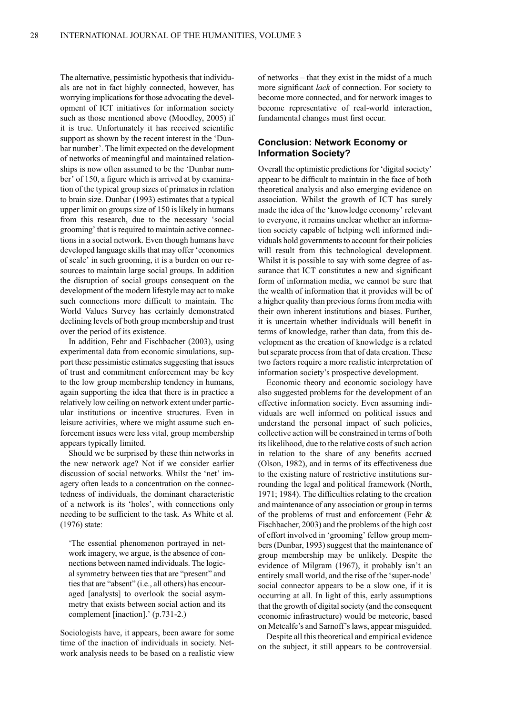The alternative, pessimistic hypothesis that individuals are not in fact highly connected, however, has worrying implications for those advocating the development of ICT initiatives for information society such as those mentioned above (Moodley, 2005) if it is true. Unfortunately it has received scientific support as shown by the recent interest in the 'Dunbar number'. The limit expected on the development of networks of meaningful and maintained relationships is now often assumed to be the 'Dunbar number' of 150, a figure which is arrived at by examination of the typical group sizes of primates in relation to brain size. Dunbar (1993) estimates that a typical upper limit on groups size of 150 is likely in humans from this research, due to the necessary 'social grooming' that is required to maintain active connections in a social network. Even though humans have developed language skills that may offer 'economies of scale' in such grooming, it is a burden on our resources to maintain large social groups. In addition the disruption of social groups consequent on the development of the modern lifestyle may act to make such connections more difficult to maintain. The World Values Survey has certainly demonstrated declining levels of both group membership and trust over the period of its existence.

In addition, Fehr and Fischbacher (2003), using experimental data from economic simulations, support these pessimistic estimates suggesting that issues of trust and commitment enforcement may be key to the low group membership tendency in humans, again supporting the idea that there is in practice a relatively low ceiling on network extent under particular institutions or incentive structures. Even in leisure activities, where we might assume such enforcement issues were less vital, group membership appears typically limited.

Should we be surprised by these thin networks in the new network age? Not if we consider earlier discussion of social networks. Whilst the 'net' imagery often leads to a concentration on the connectedness of individuals, the dominant characteristic of a network is its 'holes', with connections only needing to be sufficient to the task. As White et al.  $(1976)$  state:

'The essential phenomenon portrayed in network imagery, we argue, is the absence of connections between named individuals. The logical symmetry between ties that are "present" and ties that are "absent" (i.e., all others) has encouraged [analysts] to overlook the social asymmetry that exists between social action and its complement [inaction].' (p.731-2.)

Sociologists have, it appears, been aware for some time of the inaction of individuals in society. Network analysis needs to be based on a realistic view

of networks – that they exist in the midst of a much more significant lack of connection. For society to become more connected, and for network images to become representative of real-world interaction, fundamental changes must first occur.

# **Conclusion: Network Economy or Information Society?**

Overall the optimistic predictions for 'digital society' appear to be difficult to maintain in the face of both theoretical analysis and also emerging evidence on association. Whilst the growth of ICT has surely made the idea of the 'knowledge economy' relevant to everyone, it remains unclear whether an information society capable of helping well informed individuals hold governments to account for their policies will result from this technological development. Whilst it is possible to say with some degree of assurance that ICT constitutes a new and significant form of information media, we cannot be sure that the wealth of information that it provides will be of a higher quality than previous forms from media with their own inherent institutions and biases. Further, it is uncertain whether individuals will benefit in terms of knowledge, rather than data, from this development as the creation of knowledge is a related but separate process from that of data creation. These two factors require a more realistic interpretation of information society's prospective development.

Economic theory and economic sociology have also suggested problems for the development of an effective information society. Even assuming individuals are well informed on political issues and understand the personal impact of such policies, collective action will be constrained in terms of both its likelihood, due to the relative costs of such action in relation to the share of any benefits accrued (Olson, 1982), and in terms of its effectiveness due to the existing nature of restrictive institutions surrounding the legal and political framework (North, 1971; 1984). The difficulties relating to the creation and maintenance of any association or group in terms of the problems of trust and enforcement (Fehr  $\&$ Fischbacher, 2003) and the problems of the high cost of effort involved in 'grooming' fellow group members (Dunbar, 1993) suggest that the maintenance of group membership may be unlikely. Despite the evidence of Milgram (1967), it probably isn't an entirely small world, and the rise of the 'super-node' social connector appears to be a slow one, if it is occurring at all. In light of this, early assumptions that the growth of digital society (and the consequent economic infrastructure) would be meteoric, based on Metcalfe's and Sarnoff's laws, appear misguided.

Despite all this theoretical and empirical evidence on the subject, it still appears to be controversial.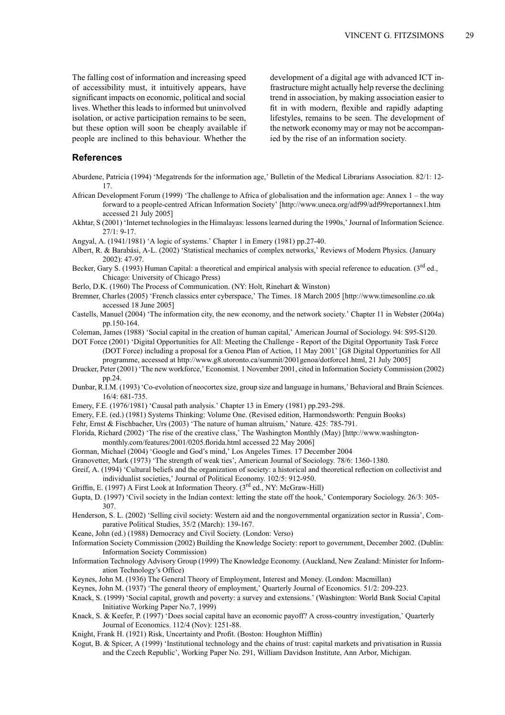The falling cost of information and increasing speed of accessibility must, it intuitively appears, have significant impacts on economic, political and social lives. Whether this leads to informed but uninvolved isolation, or active participation remains to be seen, but these option will soon be cheaply available if people are inclined to this behaviour. Whether the

development of a digital age with advanced ICT infrastructure might actually help reverse the declining trend in association, by making association easier to fit in with modern, flexible and rapidly adapting lifestyles, remains to be seen. The development of the network economy may or may not be accompanied by the rise of an information society.

#### **References**

- Aburdene, Patricia (1994) 'Megatrends for the information age,' Bulletin of the Medical Librarians Association. 82/1: 12- $17$
- African Development Forum (1999) 'The challenge to Africa of globalisation and the information age: Annex  $1$  the way forward to a people-centred African Information Society' [http://www.uneca.org/adf99/adf99reportannex1.htm accessed 21 July 2005]
- Akhtar, S (2001) 'Internet technologies in the Himalayas: lessons learned during the 1990s,' Journal of Information Science.  $27/1: 9-17.$
- Angyal, A. (1941/1981) 'A logic of systems.' Chapter 1 in Emery (1981) pp.27-40.
- Albert, R. & Barabási, A-L. (2002) 'Statistical mechanics of complex networks,' Reviews of Modern Physics. (January 2002): 47-97.
- Becker, Gary S. (1993) Human Capital: a theoretical and empirical analysis with special reference to education. (3<sup>rd</sup> ed., Chicago: University of Chicago Press)
- Berlo, D.K. (1960) The Process of Communication. (NY: Holt, Rinehart & Winston)
- Bremner, Charles (2005) 'French classics enter cyberspace,' The Times. 18 March 2005 [http://www.timesonline.co.uk accessed 18 June 2005]
- Castells, Manuel (2004) 'The information city, the new economy, and the network society.' Chapter 11 in Webster (2004a) pp.150-164.
- Coleman, James (1988) 'Social capital in the creation of human capital,' American Journal of Sociology. 94: S95-S120.
- DOT Force (2001) 'Digital Opportunities for All: Meeting the Challenge Report of the Digital Opportunity Task Force (DOT Force) including a proposal for a Genoa Plan of Action, 11 May 2001' [G8 Digital Opportunities for All programme, accessed at http://www.g8.utoronto.ca/summit/2001genoa/dotforce1.html, 21 July 2005]
- Drucker, Peter (2001) 'The new workforce,' Economist. 1 November 2001, cited in Information Society Commission (2002) pp.24.
- Dunbar, R.I.M. (1993) 'Co-evolution of neocortex size, group size and language in humans,' Behavioral and Brain Sciences. 16/4: 681-735.
- Emery, F.E. (1976/1981) 'Causal path analysis.' Chapter 13 in Emery (1981) pp.293-298.
- Emery, F.E. (ed.) (1981) Systems Thinking: Volume One. (Revised edition, Harmondsworth: Penguin Books)
- Fehr, Ernst & Fischbacher, Urs (2003) 'The nature of human altruism,' Nature. 425: 785-791.
- Florida, Richard (2002) 'The rise of the creative class,' The Washington Monthly (May) [http://www.washington
	- monthly.com/features/2001/0205.florida.html accessed 22 May 2006]
- Gorman, Michael (2004) 'Google and God's mind,' Los Angeles Times. 17 December 2004
- Granovetter, Mark (1973) 'The strength of weak ties', American Journal of Sociology. 78/6: 1360-1380.
- Greif, A. (1994) 'Cultural beliefs and the organization of society: a historical and theoretical reflection on collectivist and individualist societies,' Journal of Political Economy. 102/5: 912-950.
- Griffin, E. (1997) A First Look at Information Theory. (3<sup>rd</sup> ed., NY: McGraw-Hill)
- Gupta, D. (1997) 'Civil society in the Indian context: letting the state off the hook,' Contemporary Sociology. 26/3: 305-307
- Henderson, S. L. (2002) 'Selling civil society: Western aid and the nongovernmental organization sector in Russia', Comparative Political Studies, 35/2 (March): 139-167.
- Keane, John (ed.) (1988) Democracy and Civil Society. (London: Verso)
- Information Society Commission (2002) Building the Knowledge Society: report to government, December 2002. (Dublin: **Information Society Commission**)
- Information Technology Advisory Group (1999) The Knowledge Economy. (Auckland, New Zealand: Minister for Information Technology's Office)
- Keynes, John M. (1936) The General Theory of Employment, Interest and Money. (London: Macmillan)
- Keynes, John M. (1937) 'The general theory of employment,' Quarterly Journal of Economics. 51/2: 209-223.
- Knack, S. (1999) 'Social capital, growth and poverty: a survey and extensions.' (Washington: World Bank Social Capital Initiative Working Paper No.7, 1999)
- Knack, S. & Keefer, P. (1997) 'Does social capital have an economic payoff? A cross-country investigation,' Quarterly Journal of Economics. 112/4 (Nov): 1251-88.
- Knight, Frank H. (1921) Risk, Uncertainty and Profit. (Boston: Houghton Mifflin)
- Kogut, B. & Spicer, A (1999) 'Institutional technology and the chains of trust: capital markets and privatisation in Russia and the Czech Republic', Working Paper No. 291, William Davidson Institute, Ann Arbor, Michigan.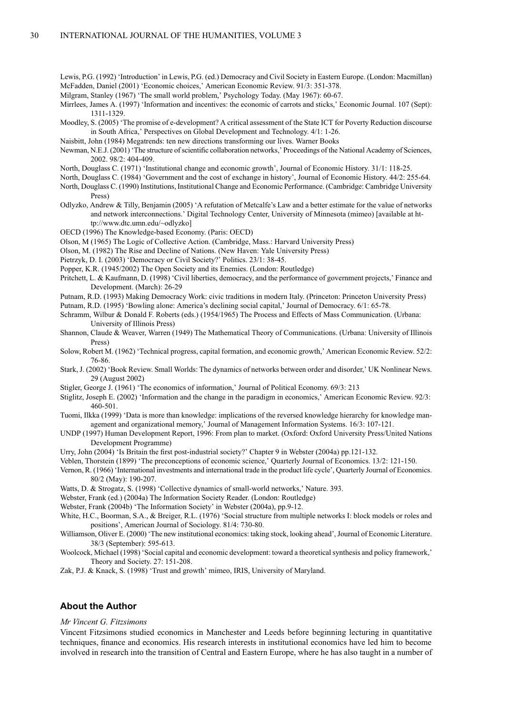Lewis, P.G. (1992) 'Introduction' in Lewis, P.G. (ed.) Democracy and Civil Society in Eastern Europe. (London: Macmillan) McFadden, Daniel (2001) 'Economic choices,' American Economic Review. 91/3: 351-378.

Milgram, Stanley (1967) 'The small world problem,' Psychology Today. (May 1967): 60-67.

Mirrlees, James A. (1997) 'Information and incentives: the economic of carrots and sticks,' Economic Journal, 107 (Sept): 1311-1329

- Moodley, S. (2005) 'The promise of e-development? A critical assessment of the State ICT for Poverty Reduction discourse in South Africa,' Perspectives on Global Development and Technology. 4/1: 1-26.
- Naisbitt, John (1984) Megatrends: ten new directions transforming our lives. Warner Books
- Newman, N.E.J. (2001) 'The structure of scientific collaboration networks,' Proceedings of the National Academy of Sciences, 2002. 98/2: 404-409.

North, Douglass C. (1971) 'Institutional change and economic growth', Journal of Economic History. 31/1: 118-25.

North, Douglass C. (1984) 'Government and the cost of exchange in history', Journal of Economic History. 44/2: 255-64.

- North, Douglass C. (1990) Institutions, Institutional Change and Economic Performance. (Cambridge: Cambridge University Press)
- Odlyzko, Andrew & Tilly, Benjamin (2005) 'A refutation of Metcalfe's Law and a better estimate for the value of networks and network interconnections.' Digital Technology Center, University of Minnesota (mimeo) [available at http://www.dtc.umn.edu/~odlyzko]
- OECD (1996) The Knowledge-based Economy. (Paris: OECD)
- Olson, M (1965) The Logic of Collective Action. (Cambridge, Mass.: Harvard University Press)

Olson, M. (1982) The Rise and Decline of Nations. (New Haven: Yale University Press)

Pietrzyk, D. I. (2003) 'Democracy or Civil Society?' Politics. 23/1: 38-45.

Popper, K.R. (1945/2002) The Open Society and its Enemies. (London: Routledge)

- Pritchett, L. & Kaufmann, D. (1998) 'Civil liberties, democracy, and the performance of government projects,' Finance and Development. (March): 26-29
- Putnam, R.D. (1993) Making Democracy Work: civic traditions in modern Italy. (Princeton: Princeton University Press)
- Putnam, R.D. (1995) 'Bowling alone: America's declining social capital,' Journal of Democracy. 6/1: 65-78.
- Schramm, Wilbur & Donald F. Roberts (eds.) (1954/1965) The Process and Effects of Mass Communication. (Urbana: University of Illinois Press)
- Shannon, Claude & Weaver, Warren (1949) The Mathematical Theory of Communications. (Urbana: University of Illinois Press)
- Solow, Robert M. (1962) 'Technical progress, capital formation, and economic growth,' American Economic Review. 52/2: 76-86
- Stark, J. (2002) 'Book Review, Small Worlds: The dynamics of networks between order and disorder.' UK Nonlinear News. 29 (August 2002)
- Stigler, George J. (1961) 'The economics of information,' Journal of Political Economy. 69/3: 213
- Stiglitz, Joseph E. (2002) 'Information and the change in the paradigm in economics,' American Economic Review. 92/3:  $460 - 501$ .
- Tuomi, Ilkka (1999) 'Data is more than knowledge: implications of the reversed knowledge hierarchy for knowledge management and organizational memory,' Journal of Management Information Systems, 16/3: 107-121.
- UNDP (1997) Human Development Report, 1996: From plan to market. (Oxford: Oxford University Press/United Nations Development Programme)
- Urry, John (2004) 'Is Britain the first post-industrial society?' Chapter 9 in Webster (2004a) pp.121-132.
- Veblen, Thorstein (1899) 'The preconceptions of economic science,' Ouarterly Journal of Economics, 13/2; 121-150.
- Vernon, R. (1966) 'International investments and international trade in the product life cycle'. Ouarterly Journal of Economics. 80/2 (May): 190-207.
- Watts, D. & Strogatz, S. (1998) 'Collective dynamics of small-world networks,' Nature. 393.
- Webster, Frank (ed.) (2004a) The Information Society Reader. (London: Routledge)

Webster, Frank (2004b) 'The Information Society' in Webster (2004a), pp.9-12.

White, H.C., Boorman, S.A., & Breiger, R.L. (1976) 'Social structure from multiple networks I: block models or roles and positions', American Journal of Sociology. 81/4: 730-80.

Williamson, Oliver E. (2000) 'The new institutional economics: taking stock, looking ahead', Journal of Economic Literature. 38/3 (September): 595-613.

Woolcock, Michael (1998) 'Social capital and economic development: toward a theoretical synthesis and policy framework,' Theory and Society. 27: 151-208.

Zak, P.J. & Knack, S. (1998) 'Trust and growth' mimeo, IRIS, University of Maryland.

### **About the Author**

#### Mr Vincent G. Fitzsimons

Vincent Fitzsimons studied economics in Manchester and Leeds before beginning lecturing in quantitative techniques, finance and economics. His research interests in institutional economics have led him to become involved in research into the transition of Central and Eastern Europe, where he has also taught in a number of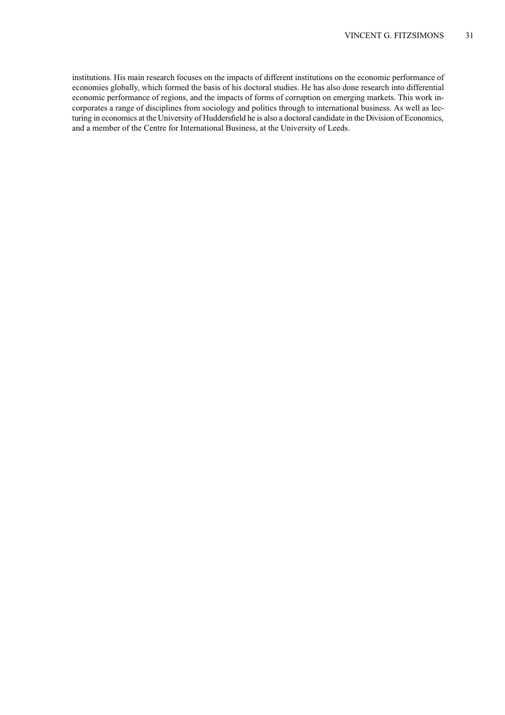institutions. His main research focuses on the impacts of different institutions on the economic performance of economies globally, which formed the basis of his doctoral studies. He has also done research into differential economic performance of regions, and the impacts of forms of corruption on emerging markets. This work incorporates a range of disciplines from sociology and politics through to international business. As well as lecturing in economics at the University of Huddersfield he is also a doctoral candidate in the Division of Economics, and a member of the Centre for International Business, at the University of Leeds.